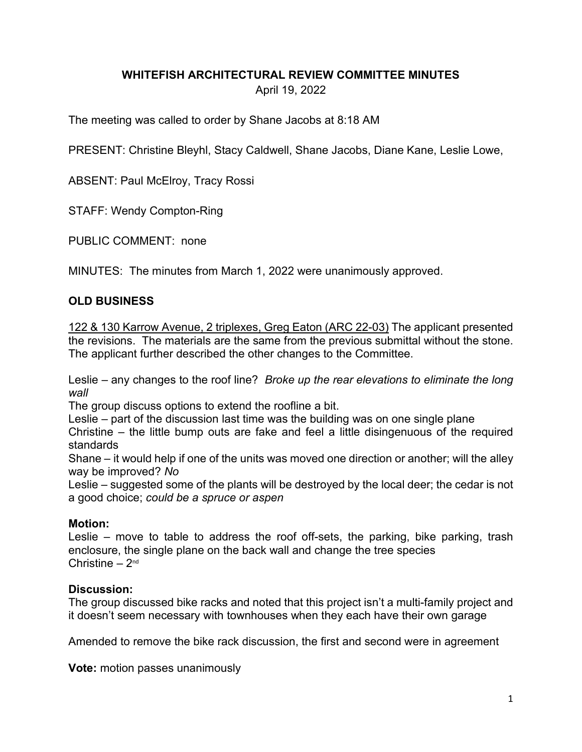# **WHITEFISH ARCHITECTURAL REVIEW COMMITTEE MINUTES** April 19, 2022

The meeting was called to order by Shane Jacobs at 8:18 AM

PRESENT: Christine Bleyhl, Stacy Caldwell, Shane Jacobs, Diane Kane, Leslie Lowe,

ABSENT: Paul McElroy, Tracy Rossi

STAFF: Wendy Compton-Ring

PUBLIC COMMENT: none

MINUTES: The minutes from March 1, 2022 were unanimously approved.

# **OLD BUSINESS**

122 & 130 Karrow Avenue, 2 triplexes, Greg Eaton (ARC 22-03) The applicant presented the revisions. The materials are the same from the previous submittal without the stone. The applicant further described the other changes to the Committee.

Leslie – any changes to the roof line? *Broke up the rear elevations to eliminate the long wall*

The group discuss options to extend the roofline a bit.

Leslie – part of the discussion last time was the building was on one single plane

Christine – the little bump outs are fake and feel a little disingenuous of the required standards

Shane – it would help if one of the units was moved one direction or another; will the alley way be improved? *No*

Leslie – suggested some of the plants will be destroyed by the local deer; the cedar is not a good choice; *could be a spruce or aspen*

### **Motion:**

Leslie – move to table to address the roof off-sets, the parking, bike parking, trash enclosure, the single plane on the back wall and change the tree species Christine  $-2<sup>nd</sup>$ 

# **Discussion:**

The group discussed bike racks and noted that this project isn't a multi-family project and it doesn't seem necessary with townhouses when they each have their own garage

Amended to remove the bike rack discussion, the first and second were in agreement

**Vote:** motion passes unanimously